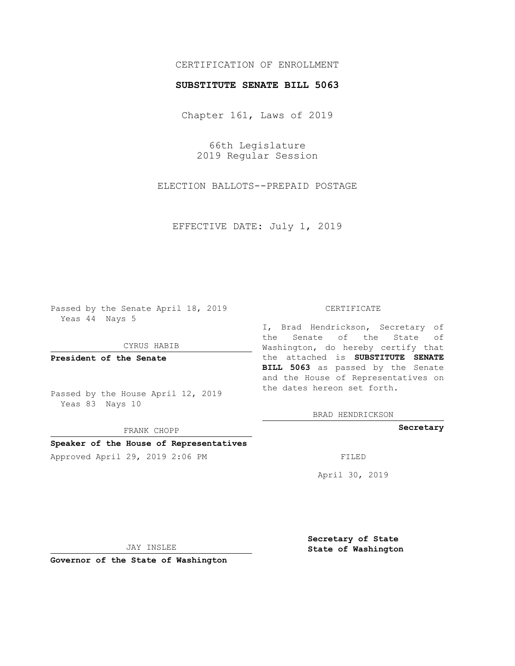## CERTIFICATION OF ENROLLMENT

### **SUBSTITUTE SENATE BILL 5063**

Chapter 161, Laws of 2019

66th Legislature 2019 Regular Session

ELECTION BALLOTS--PREPAID POSTAGE

EFFECTIVE DATE: July 1, 2019

Passed by the Senate April 18, 2019 Yeas 44 Nays 5

CYRUS HABIB

**President of the Senate**

Passed by the House April 12, 2019 Yeas 83 Nays 10

FRANK CHOPP

## **Speaker of the House of Representatives**

Approved April 29, 2019 2:06 PM FILED

#### CERTIFICATE

I, Brad Hendrickson, Secretary of the Senate of the State of Washington, do hereby certify that the attached is **SUBSTITUTE SENATE BILL 5063** as passed by the Senate and the House of Representatives on the dates hereon set forth.

BRAD HENDRICKSON

**Secretary**

April 30, 2019

JAY INSLEE

**Governor of the State of Washington**

**Secretary of State State of Washington**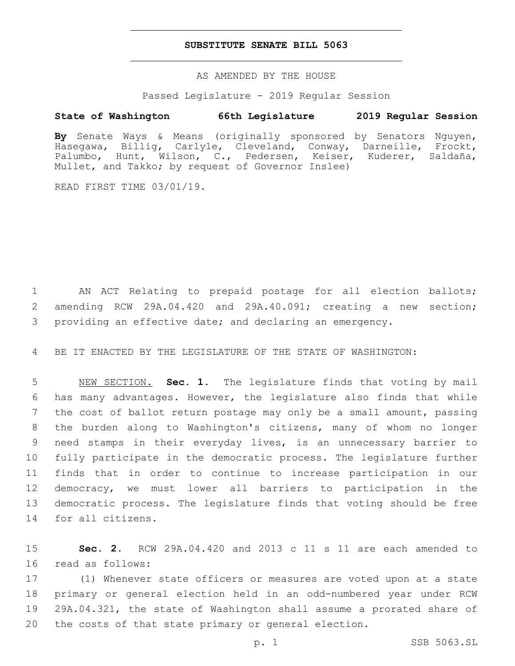### **SUBSTITUTE SENATE BILL 5063**

AS AMENDED BY THE HOUSE

Passed Legislature - 2019 Regular Session

# **State of Washington 66th Legislature 2019 Regular Session**

**By** Senate Ways & Means (originally sponsored by Senators Nguyen, Hasegawa, Billig, Carlyle, Cleveland, Conway, Darneille, Frockt, Palumbo, Hunt, Wilson, C., Pedersen, Keiser, Kuderer, Saldaña, Mullet, and Takko; by request of Governor Inslee)

READ FIRST TIME 03/01/19.

 AN ACT Relating to prepaid postage for all election ballots; amending RCW 29A.04.420 and 29A.40.091; creating a new section; providing an effective date; and declaring an emergency.

BE IT ENACTED BY THE LEGISLATURE OF THE STATE OF WASHINGTON:

 NEW SECTION. **Sec. 1.** The legislature finds that voting by mail has many advantages. However, the legislature also finds that while the cost of ballot return postage may only be a small amount, passing the burden along to Washington's citizens, many of whom no longer need stamps in their everyday lives, is an unnecessary barrier to fully participate in the democratic process. The legislature further finds that in order to continue to increase participation in our democracy, we must lower all barriers to participation in the democratic process. The legislature finds that voting should be free for all citizens.

 **Sec. 2.** RCW 29A.04.420 and 2013 c 11 s 11 are each amended to 16 read as follows:

 (1) Whenever state officers or measures are voted upon at a state primary or general election held in an odd-numbered year under RCW 29A.04.321, the state of Washington shall assume a prorated share of the costs of that state primary or general election.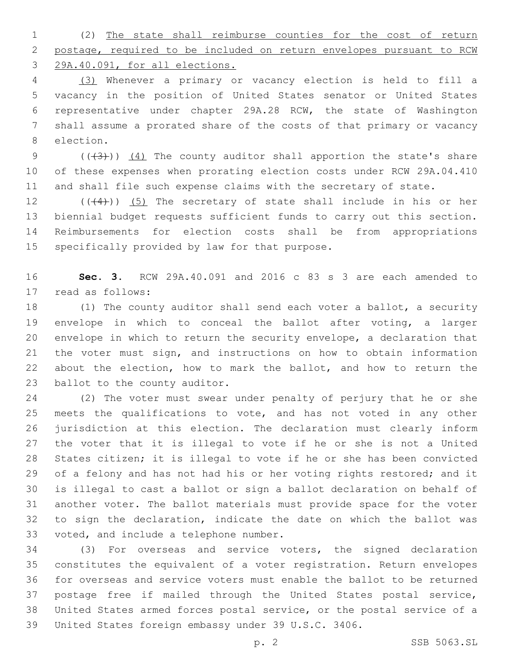(2) The state shall reimburse counties for the cost of return postage, required to be included on return envelopes pursuant to RCW 29A.40.091, for all elections.

 (3) Whenever a primary or vacancy election is held to fill a vacancy in the position of United States senator or United States representative under chapter 29A.28 RCW, the state of Washington shall assume a prorated share of the costs of that primary or vacancy 8 election.

9  $((+3))$   $(4)$  The county auditor shall apportion the state's share of these expenses when prorating election costs under RCW 29A.04.410 and shall file such expense claims with the secretary of state.

 $((+4))$   $(5)$  The secretary of state shall include in his or her biennial budget requests sufficient funds to carry out this section. Reimbursements for election costs shall be from appropriations 15 specifically provided by law for that purpose.

 **Sec. 3.** RCW 29A.40.091 and 2016 c 83 s 3 are each amended to 17 read as follows:

 (1) The county auditor shall send each voter a ballot, a security envelope in which to conceal the ballot after voting, a larger envelope in which to return the security envelope, a declaration that the voter must sign, and instructions on how to obtain information about the election, how to mark the ballot, and how to return the 23 ballot to the county auditor.

 (2) The voter must swear under penalty of perjury that he or she meets the qualifications to vote, and has not voted in any other jurisdiction at this election. The declaration must clearly inform the voter that it is illegal to vote if he or she is not a United States citizen; it is illegal to vote if he or she has been convicted 29 of a felony and has not had his or her voting rights restored; and it is illegal to cast a ballot or sign a ballot declaration on behalf of another voter. The ballot materials must provide space for the voter to sign the declaration, indicate the date on which the ballot was 33 voted, and include a telephone number.

 (3) For overseas and service voters, the signed declaration constitutes the equivalent of a voter registration. Return envelopes for overseas and service voters must enable the ballot to be returned postage free if mailed through the United States postal service, United States armed forces postal service, or the postal service of a United States foreign embassy under 39 U.S.C. 3406.